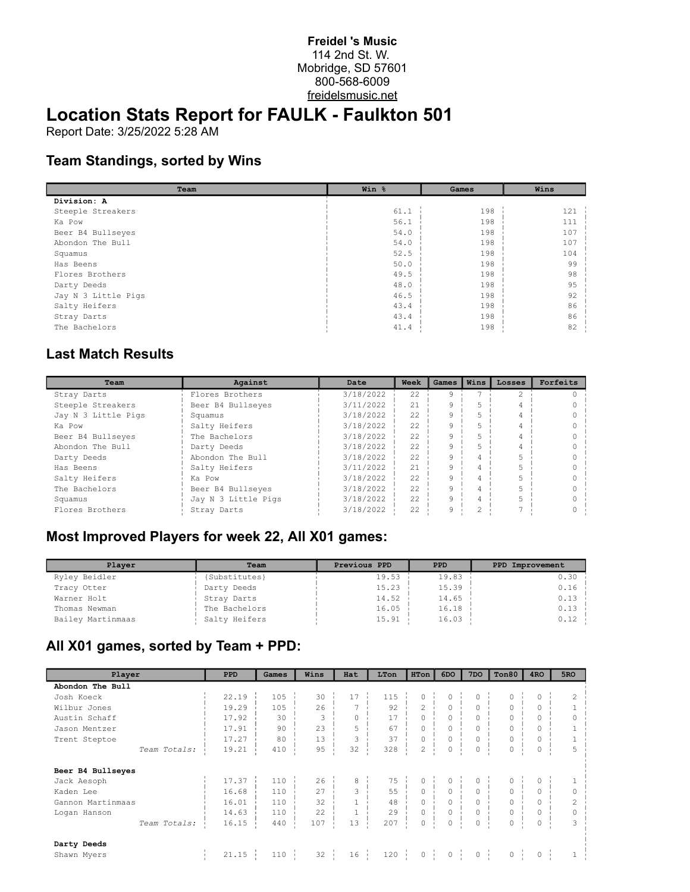#### **Freidel 's Music** 114 2nd St. W. Mobridge, SD 57601 800-568-6009 freidelsmusic.net

# **Location Stats Report for FAULK - Faulkton 501**

Report Date: 3/25/2022 5:28 AM

## **Team Standings, sorted by Wins**

| Team                | Win % | Games | Wins |
|---------------------|-------|-------|------|
| Division: A         |       |       |      |
| Steeple Streakers   | 61.1  | 198   | 121  |
| Ka Pow              | 56.1  | 198   | 111  |
| Beer B4 Bullseyes   | 54.0  | 198   | 107  |
| Abondon The Bull    | 54.0  | 198   | 107  |
| Squamus             | 52.5  | 198   | 104  |
| Has Beens           | 50.0  | 198   | 99   |
| Flores Brothers     | 49.5  | 198   | 98   |
| Darty Deeds         | 48.0  | 198   | 95   |
| Jay N 3 Little Pigs | 46.5  | 198   | 92   |
| Salty Heifers       | 43.4  | 198   | 86   |
| Stray Darts         | 43.4  | 198   | 86   |
| The Bachelors       | 41.4  | 198   | 82   |

#### **Last Match Results**

| Team                | Against             | Date      | Week | Games | Wins | Losses | Forfeits |
|---------------------|---------------------|-----------|------|-------|------|--------|----------|
| Stray Darts         | Flores Brothers     | 3/18/2022 | 22.2 | Q     |      |        |          |
| Steeple Streakers   | Beer B4 Bullseyes   | 3/11/2022 | 21   | 9     |      |        |          |
| Jay N 3 Little Pigs | Squamus             | 3/18/2022 | 22   | 9     |      |        |          |
| Ka Pow              | Salty Heifers       | 3/18/2022 | 22   | 9     |      |        |          |
| Beer B4 Bullseyes   | The Bachelors       | 3/18/2022 | 22   | 9     |      |        |          |
| Abondon The Bull    | Darty Deeds         | 3/18/2022 | 22.2 | 9     |      |        |          |
| Darty Deeds         | Abondon The Bull    | 3/18/2022 | 22   | 9     |      |        |          |
| Has Beens           | Salty Heifers       | 3/11/2022 | 21   | 9     |      |        |          |
| Salty Heifers       | Ka Pow              | 3/18/2022 | 22   | 9     |      |        |          |
| The Bachelors       | Beer B4 Bullseyes   | 3/18/2022 | 22   | 9     |      |        |          |
| Squamus             | Jay N 3 Little Pigs | 3/18/2022 | 22   | 9     |      |        |          |
| Flores Brothers     | Stray Darts         | 3/18/2022 | 22.2 | 9     | 2    |        |          |

## **Most Improved Players for week 22, All X01 games:**

| Plaver            | Team          | Previous PPD | <b>PPD</b> | PPD Improvement |
|-------------------|---------------|--------------|------------|-----------------|
| Ryley Beidler     | (Substitutes) | 19.53        | 19.83      | 0.30            |
| Tracy Otter       | Darty Deeds   | 15.23        | 15.39      | 0.16            |
| Warner Holt       | Stray Darts   | 14.52        | 14.65      | 0.13            |
| Thomas Newman     | The Bachelors | 16.05        | 16.18      | 0.13            |
| Bailey Martinmaas | Salty Heifers | 15.91        | 16.03      | 0.12            |

# **All X01 games, sorted by Team + PPD:**

| Player            | <b>PPD</b> | Games | Wins             | Hat          | LTon    | HTon             | 6DO           | 7DO              | Ton80       | 4RO     | 5RO            |
|-------------------|------------|-------|------------------|--------------|---------|------------------|---------------|------------------|-------------|---------|----------------|
| Abondon The Bull  |            |       |                  |              |         |                  |               |                  |             |         |                |
| Josh Koeck        | 22.19      | 105   | 30               | 17           | 115     | 0                | 0             | 0                | $\circ$     | 0       | 2              |
| Wilbur Jones      | 19.29      | 105   | 26               |              | 92      | $\overline{2}$   |               | $\mathbf 0$      | $\circ$     | 0       |                |
| Austin Schaff     | 17.92      | 30    | 3                | $\circ$      | 17      | 0                | $\circ$       | $\mathbf 0$      | $\circ$     | 0       |                |
| Jason Mentzer     | 17.91      | 90    | 23               | 5            | 67      | 0                | $\circ$       | $\mathbf 0$      | $\circ$     | 0       |                |
| Trent Steptoe     | 17.27      | 80    | 13               | 3            | 37      | 0                | $\circ$       | 0                | $\mathbb O$ | 0       |                |
| Team Totals:      | 19.21      | 410   | 95               | 32           | 328     | 2                | $\mathbf 0$   | 0                | $\circ$     | Ō       |                |
| Beer B4 Bullseyes |            |       |                  |              |         |                  |               |                  |             |         |                |
| Jack Aesoph       | 17.37      | 110   | 26               | 8            | 75      | 0                | $\circ$       | 0                | $\circ$     | 0       |                |
| Kaden Lee         | 16.68      | 110   | 27               | 3            | 55      | $\circ$          | $\circ$       | $\circ$          | $\circ$     | 0       |                |
| Gannon Martinmaas | 16.01      | 110   | 32               | $\mathbf{1}$ | 48      | $\circ$          | $\mathbf 0$   | $\circ$          | $\circ$     | 0       | $\overline{c}$ |
| Logan Hanson      | 14.63      | 110   | 22               | $\mathbf{1}$ | 29      | $\circ$          | $\circ$       | $\mathbf 0$      | $\mathbb O$ | 0       | $\circ$        |
| Team Totals:      | 16.15      | 440   | 107              | 13           | 207     | 0                | $\circ$       | 0                | $\circ$     | 0       | 3              |
| Darty Deeds       |            |       |                  |              |         |                  |               |                  |             |         |                |
| Shawn Myers       | 21.15      | 110   | $32 \frac{1}{2}$ | 16           | $120$ i | $0 \quad \vdots$ | ÷.<br>$\circ$ | $0 \quad \vdots$ | $\mathbb O$ | $\circ$ |                |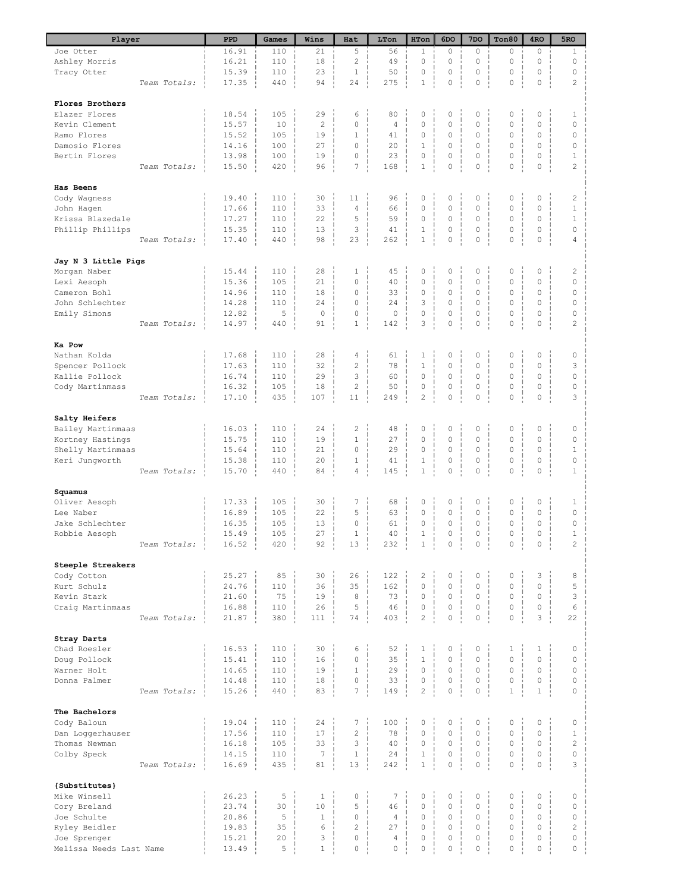| Player                              |              | PPD            | Games      | Wins            | Hat                 | LTon            | HTon           | 6DO                                     | 7 <sub>DO</sub>     | Ton80                       | 4RO                     | 5RO                |
|-------------------------------------|--------------|----------------|------------|-----------------|---------------------|-----------------|----------------|-----------------------------------------|---------------------|-----------------------------|-------------------------|--------------------|
| Joe Otter                           |              | 16.91          | 110        | 21              | 5                   | 56              | $\mathbf{1}$   | $\circ$                                 | $\circ$             | 0                           | $\circ$                 | $\mathbf{1}$       |
| Ashley Morris                       |              | 16.21          | 110        | 18              | $\overline{c}$      | 49              | $\mathbf 0$    | 0                                       | $\circ$             | $\mathbf 0$                 | $\circ$                 | 0                  |
| Tracy Otter                         |              | 15.39          | 110        | 23              | $\mathbf{1}$        | 50              | 0              | $\circ$                                 | $\Omega$            | $\mathbf 0$                 | $\circ$                 | $\mathbf 0$        |
|                                     | Team Totals: | 17.35          | 440        | 94              | 24                  | 275             | $1\,$          | $\mathbb O$                             | $\mathbb O$         | $\mathbb O$                 | 0                       | 2                  |
| Flores Brothers                     |              |                |            |                 |                     |                 |                |                                         |                     |                             |                         |                    |
| Elazer Flores                       |              | 18.54          | 105        | 29              | 6                   | 80              | $\mathbb O$    | 0                                       | $\mathbb O$         | $\circ$                     | 0                       | 1                  |
| Kevin Clement                       |              | 15.57          | 10         | $\mathbf{2}$    | 0                   | $\overline{4}$  | 0              | $\mathbf 0$                             | $\mathbf 0$         | $\mathbf 0$                 | 0                       | $\circ$            |
| Ramo Flores                         |              | 15.52          | 105        | 19              | $1\,$               | 41              | 0              | 0                                       | $\mathbb O$         | $\mathbb O$                 | $\circ$                 | $\mathbb O$        |
| Damosio Flores                      |              | 14.16          | 100        | 27              | 0                   | 20              | $\mathbf{1}$   | $\mathbf 0$                             | $\mathbf 0$         | $\mathbf 0$                 | $\circ$                 | $\mathbf 0$        |
| Bertin Flores                       |              | 13.98          | 100        | 19              | 0                   | 23              | 0              | 0                                       | 0                   | $\mathbb O$                 | $\circ$                 | $1\,$              |
|                                     | Team Totals: | 15.50          | 420        | 96              | 7                   | 168             | $\,1\,$        | $\mathsf{O}\xspace$                     | 0                   | $\circ$                     | $\mathbf 0$             | $\overline{c}$     |
|                                     |              |                |            |                 |                     |                 |                |                                         |                     |                             |                         |                    |
| <b>Has Beens</b>                    |              |                |            |                 |                     |                 |                |                                         |                     |                             |                         |                    |
| Cody Wagness                        |              | 19.40          | 110        | 30              | 11                  | 96              | 0              | 0                                       | $\mathbb O$         | $\mathbb O$                 | $\circ$                 | $\overline{c}$     |
| John Hagen                          |              | 17.66          | 110        | 33              | $\overline{4}$      | 66              | 0              | $\mathsf{O}\xspace$                     | $\mathbf 0$         | $\mathbf 0$                 | $\circ$                 | $\mathbf{1}$       |
| Krissa Blazedale                    |              | 17.27          | 110        | 22              | 5                   | 59              | 0              | 0                                       | 0                   | $\circ$                     | $\circ$                 | $\mathbf{1}$       |
| Phillip Phillips                    |              | 15.35          | 110        | 13              | 3                   | 41              | $1\,$          | $\mathsf{O}\xspace$                     | $\mathbb O$         | $\mathbb O$                 | $\circ$                 | $\mathbf 0$        |
|                                     | Team Totals: | 17.40          | 440        | 98              | 23                  | 262             | $\,1\,$        | $\mathbb O$                             | 0                   | $\mathbb O$                 | $\circ$                 | 4                  |
|                                     |              |                |            |                 |                     |                 |                |                                         |                     |                             |                         |                    |
| Jay N 3 Little Pigs<br>Morgan Naber |              | 15.44          | 110        | 28              | $\mathbf{1}$        | 45              | 0              | 0                                       | 0                   | 0                           | 0                       |                    |
| Lexi Aesoph                         |              | 15.36          | 105        | 21              | $\mathbb O$         | 40              | 0              | $\circ$                                 | $\mathbf 0$         | $\mathbf 0$                 | 0                       | 2<br>$\circ$       |
| Cameron Bohl                        |              | 14.96          | 110        | 18              | 0                   | 33              | 0              | 0                                       | $\mathbf 0$         | $\circ$                     | $\mathbf 0$             | $\mathbf 0$        |
| John Schlechter                     |              | 14.28          | 110        | 24              | $\mathbb O$         | 24              | 3              | $\mathsf{O}\xspace$                     | $\mathbf 0$         | $\circ$                     | $\circ$                 | $\mathbf 0$        |
| Emily Simons                        |              | 12.82          | 5          | $\circ$         | 0                   | $\circ$         | 0              | 0                                       | 0                   | $\mathbf 0$                 | $\circ$                 | $\mathbf 0$        |
|                                     | Team Totals: | 14.97          | 440        | 91              | $\mathbf{1}$        | 142             | 3              | $\mathsf{O}\xspace$                     | 0                   | 0                           | 0                       | $\overline{c}$     |
|                                     |              |                |            |                 |                     |                 |                |                                         |                     |                             |                         |                    |
| Ka Pow                              |              |                |            |                 |                     |                 |                |                                         |                     |                             |                         |                    |
| Nathan Kolda                        |              | 17.68          | 110        | 28              | 4                   | 61              | $\mathbf 1$    | $\mathbb O$                             | $\mathbb O$         | $\mathbb O$                 | $\circ$                 | $\circ$            |
| Spencer Pollock                     |              | 17.63          | 110        | 32              | $\overline{c}$      | 78              | $\mathbf 1$    | $\mathsf{O}\xspace$                     | 0                   | 0                           | $\circ$                 | 3                  |
| Kallie Pollock                      |              | 16.74          | 110        | 29              | 3                   | 60              | $\circ$        | $\mathbf 0$                             | $\mathbf 0$         | $\mathbf 0$                 | $\circ$                 | $\Omega$           |
| Cody Martinmass                     |              | 16.32          | 105        | 18              | $\overline{c}$      | 50              | 0              | $\mathbb O$                             | $\mathbb O$         | $\mathbb O$                 | 0                       | $\mathbb O$        |
|                                     | Team Totals: | 17.10          | 435        | 107             | 11                  | 249             | $\overline{c}$ | $\mathbb O$                             | 0                   | $\circ$                     | 0                       | 3                  |
|                                     |              |                |            |                 |                     |                 |                |                                         |                     |                             |                         |                    |
| Salty Heifers                       |              |                |            |                 |                     |                 |                |                                         |                     |                             |                         |                    |
| Bailey Martinmaas                   |              | 16.03          | 110        | 24              | $\overline{c}$      | 48              | 0              | 0                                       | 0                   | 0                           | 0                       | 0                  |
| Kortney Hastings                    |              | 15.75          | 110        | 19              | $\mathbf{1}$        | 27              | 0              | $\mathsf{O}\xspace$                     | $\mathbb O$         | $\mathbb O$                 | $\circ$                 | 0                  |
| Shelly Martinmaas                   |              | 15.64          | 110        | 21              | $\mathbb O$         | 29              | 0              | $\mathsf{O}\xspace$                     | $\mathbb O$         | $\mathbb O$                 | $\circ$                 | $\mathbf{1}$       |
| Keri Jungworth                      |              | 15.38          | 110        | 20              | $\mathbf 1$         | 41              | $\,1\,$        | $\mathsf{O}\xspace$<br>$\circ$          | $\mathbb O$         | $\mathbb O$                 | $\circ$                 | $\mathbf 0$        |
|                                     | Team Totals: | 15.70          | 440        | 84              | 4                   | 145             | $\mathbf 1$    |                                         | 0                   | $\circ$                     | $\mathsf{O}\xspace$     | $\mathbf{1}$       |
| Squamus                             |              |                |            |                 |                     |                 |                |                                         |                     |                             |                         |                    |
| Oliver Aesoph                       |              | 17.33          | 105        | 30              | 7                   | 68              | 0              | 0                                       | 0                   | $\circ$                     | $\circ$                 | 1                  |
| Lee Naber                           |              | 16.89          | 105        | 22              | 5                   | 63              | $\mathbb O$    | $\mathsf{O}\xspace$                     | $\mathbb O$         | $\mathbf 0$                 | $\circ$                 | $\circ$            |
| Jake Schlechter                     |              | 16.35          | 105        | 13              | 0                   | 61              | 0              | $\mathsf{O}\xspace$                     | $\mathbb O$         | $\mathbb O$                 | $\circ$                 | $\mathbb O$        |
| Robbie Aesoph                       |              | 15.49          | 105        | 27              | $\mathbf 1$         | 40              | $\mathbf 1$    | $\mathbf 0$                             | $\mathbf 0$         | $\circ$                     | $\Omega$                | $\mathbf{1}$       |
|                                     | Team Totals: | 16.52          | 420        | 92              | 13                  | 232             | $\mathbbm{1}$  | $\mathbb O$<br>$\overline{\phantom{a}}$ | $\mathsf{O}\xspace$ | $\circ$<br>÷                | $\mathbb O$             | $\overline{2}$     |
|                                     |              |                |            |                 |                     |                 |                |                                         |                     |                             |                         |                    |
| Steeple Streakers                   |              |                |            |                 |                     |                 |                |                                         |                     |                             |                         |                    |
| Cody Cotton                         |              | 25.27          | 85         | 30              | 26                  | 122             | $\overline{c}$ | 0                                       | 0                   | 0                           | 3                       | 8                  |
| Kurt Schulz                         |              | 24.76          | 110        | 36              | 35                  | 162             | 0              | $\mathsf{O}\xspace$                     | $\mathbb O$         | $\circ$                     | $\circ$                 | 5                  |
| Kevin Stark                         |              | 21.60          | 75         | 19              | 8                   | 73              | $\mathbb O$    | 0                                       | $\mathbb O$         | $\circ$                     | $\circ$                 | 3                  |
| Craig Martinmaas                    |              | 16.88          | 110        | 26              | 5                   | 46              | 0              | $\mathbb O$                             | $\mathbb O$         | 0                           | $\circ$                 | 6                  |
|                                     | Team Totals: | 21.87          | 380        | 111             | 74                  | 403             | $\overline{c}$ | $\mathbf 0$                             | $\mathsf{O}\xspace$ | $\circ$                     | 3                       | 22                 |
|                                     |              |                |            |                 |                     |                 |                |                                         |                     |                             |                         |                    |
| Stray Darts                         |              |                |            |                 |                     |                 |                |                                         |                     |                             |                         |                    |
| Chad Roesler                        |              | 16.53          | 110        | 30              | 6                   | 52              | $\,1$          | 0<br>$\circ$                            | 0<br>$\mathbf 0$    | $\mathbf{1}$<br>$\mathbf 0$ | $\mathbf{1}$<br>$\circ$ | $\circ$            |
| Doug Pollock                        |              | 15.41          | 110        | 16              | 0                   | 35<br>29        | $1\,$<br>0     | $\mathsf{O}\xspace$                     | 0                   | $\mathbf 0$                 | 0                       | $\circ$<br>$\circ$ |
| Warner Holt                         |              | 14.65          | 110        | 19              | $\mathbf{1}$<br>0   | 33              | 0              | $\mathsf{O}\xspace$                     | $\mathbb O$         | 0                           | 0                       | $\circ$            |
| Donna Palmer                        | Team Totals: | 14.48<br>15.26 | 110<br>440 | 18<br>83        | 7                   | 149             | $\overline{c}$ | $\mathsf{O}\xspace$                     | 0                   | $\mathbf{1}$                | $\mathbf{1}$            | 0                  |
|                                     |              |                |            |                 |                     |                 |                |                                         |                     |                             |                         |                    |
| The Bachelors                       |              |                |            |                 |                     |                 |                |                                         |                     |                             |                         |                    |
| Cody Baloun                         |              | 19.04          | 110        | 24              | 7                   | 100             | 0              | 0                                       | 0                   | 0                           | 0                       | 0                  |
| Dan Loggerhauser                    |              | 17.56          | 110        | 17              | $\overline{c}$      | 78              | 0              | $\mathsf{O}\xspace$                     | $\mathbb O$         | $\mathbb O$                 | 0                       | $\mathbf{1}$       |
| Thomas Newman                       |              | 16.18          | 105        | 33              | 3                   | 40              | $\circ$        | $\mathbb O$                             | 0                   | $\mathbb O$                 | $\circ$                 | $\overline{c}$     |
| Colby Speck                         |              | 14.15          | 110        | $7\phantom{.0}$ | $1\,$               | 24              | $\,1$          | $\mathsf{O}\xspace$                     | $\mathbb O$         | $\mathbb O$                 | $\circ$                 | $\mathbf 0$        |
|                                     | Team Totals: | 16.69          | 435        | 81              | 13                  | 242             | $\,1\,$        | $\mathbb O$                             | $\mathsf{O}\xspace$ | $\circ$                     | $\circ$                 | 3                  |
|                                     |              |                |            |                 |                     |                 |                |                                         |                     |                             |                         |                    |
| {Substitutes}                       |              |                |            |                 |                     |                 |                |                                         |                     |                             |                         |                    |
| Mike Winsell                        |              | 26.23          | 5          | $\mathbf{1}$    | $\mathsf{O}\xspace$ | $7\phantom{.0}$ | $\mathbb O$    | 0                                       | 0                   | $\circ$                     | $\circ$                 | 0                  |
| Cory Breland                        |              | 23.74          | 30         | 10              | 5                   | 46              | 0              | $\mathsf{O}\xspace$                     | $\circ$             | $\mathbf 0$                 | $\circ$                 | 0                  |
| Joe Schulte                         |              | 20.86          | 5          | $\mathbf{1}$    | $\mathsf{O}\xspace$ | $\overline{4}$  | $\mathbb O$    | $\mathsf{O}\xspace$                     | $\mathbb O$         | $\circ$                     | $\circ$                 | 0                  |
| Ryley Beidler                       |              | 19.83          | 35         | 6               | $\overline{c}$      | 27              | 0              | $\mathsf{O}\xspace$                     | $\mathbf 0$         | 0                           | $\circ$                 | $\overline{c}$     |
| Joe Sprenger                        |              | 15.21          | 20         | 3               | $\mathsf{O}\xspace$ | 4               | 0              | 0                                       | 0                   | $\mathbb O$                 | $\circ$                 | $\mathbb O$        |
| Melissa Needs Last Name             |              | 13.49          | 5          | $\mathbf{1}$    | 0                   | $\circ$         | 0              | $\mathbf 0$                             | 0                   | $\circ$                     | $\mathbb O$             | 0                  |
|                                     |              |                |            |                 |                     |                 |                |                                         |                     |                             |                         |                    |